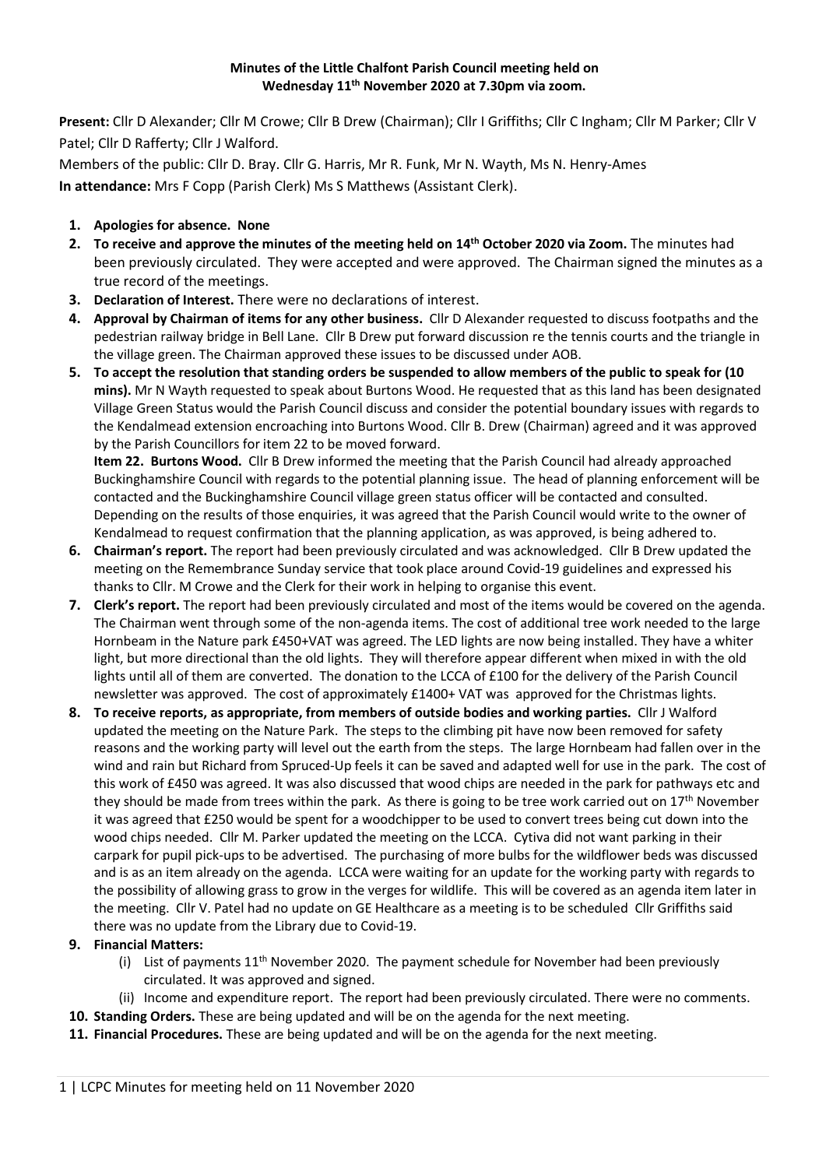## **Minutes of the Little Chalfont Parish Council meeting held on Wednesday 11th November 2020 at 7.30pm via zoom.**

**Present:** Cllr D Alexander; Cllr M Crowe; Cllr B Drew (Chairman); Cllr I Griffiths; Cllr C Ingham; Cllr M Parker; Cllr V Patel; Cllr D Rafferty; Cllr J Walford.

Members of the public: Cllr D. Bray. Cllr G. Harris, Mr R. Funk, Mr N. Wayth, Ms N. Henry-Ames **In attendance:** Mrs F Copp (Parish Clerk) Ms S Matthews (Assistant Clerk).

## **1. Apologies for absence. None**

- **2. To receive and approve the minutes of the meeting held on 14th October 2020 via Zoom.** The minutes had been previously circulated. They were accepted and were approved. The Chairman signed the minutes as a true record of the meetings.
- **3. Declaration of Interest.** There were no declarations of interest.
- **4. Approval by Chairman of items for any other business.** Cllr D Alexander requested to discuss footpaths and the pedestrian railway bridge in Bell Lane. Cllr B Drew put forward discussion re the tennis courts and the triangle in the village green. The Chairman approved these issues to be discussed under AOB.
- **5. To accept the resolution that standing orders be suspended to allow members of the public to speak for (10 mins).** Mr N Wayth requested to speak about Burtons Wood. He requested that as this land has been designated Village Green Status would the Parish Council discuss and consider the potential boundary issues with regards to the Kendalmead extension encroaching into Burtons Wood. Cllr B. Drew (Chairman) agreed and it was approved by the Parish Councillors for item 22 to be moved forward.

**Item 22. Burtons Wood.** Cllr B Drew informed the meeting that the Parish Council had already approached Buckinghamshire Council with regards to the potential planning issue. The head of planning enforcement will be contacted and the Buckinghamshire Council village green status officer will be contacted and consulted. Depending on the results of those enquiries, it was agreed that the Parish Council would write to the owner of Kendalmead to request confirmation that the planning application, as was approved, is being adhered to.

- **6. Chairman's report.** The report had been previously circulated and was acknowledged. Cllr B Drew updated the meeting on the Remembrance Sunday service that took place around Covid-19 guidelines and expressed his thanks to Cllr. M Crowe and the Clerk for their work in helping to organise this event.
- **7. Clerk's report.** The report had been previously circulated and most of the items would be covered on the agenda. The Chairman went through some of the non-agenda items. The cost of additional tree work needed to the large Hornbeam in the Nature park £450+VAT was agreed. The LED lights are now being installed. They have a whiter light, but more directional than the old lights. They will therefore appear different when mixed in with the old lights until all of them are converted. The donation to the LCCA of £100 for the delivery of the Parish Council newsletter was approved. The cost of approximately £1400+ VAT was approved for the Christmas lights.
- **8. To receive reports, as appropriate, from members of outside bodies and working parties.** Cllr J Walford updated the meeting on the Nature Park. The steps to the climbing pit have now been removed for safety reasons and the working party will level out the earth from the steps. The large Hornbeam had fallen over in the wind and rain but Richard from Spruced-Up feels it can be saved and adapted well for use in the park. The cost of this work of £450 was agreed. It was also discussed that wood chips are needed in the park for pathways etc and they should be made from trees within the park. As there is going to be tree work carried out on 17<sup>th</sup> November it was agreed that £250 would be spent for a woodchipper to be used to convert trees being cut down into the wood chips needed. Cllr M. Parker updated the meeting on the LCCA. Cytiva did not want parking in their carpark for pupil pick-ups to be advertised. The purchasing of more bulbs for the wildflower beds was discussed and is as an item already on the agenda. LCCA were waiting for an update for the working party with regards to the possibility of allowing grass to grow in the verges for wildlife. This will be covered as an agenda item later in the meeting. Cllr V. Patel had no update on GE Healthcare as a meeting is to be scheduled Cllr Griffiths said there was no update from the Library due to Covid-19.

## **9. Financial Matters:**

- (i) List of payments  $11<sup>th</sup>$  November 2020. The payment schedule for November had been previously circulated. It was approved and signed.
- (ii) Income and expenditure report. The report had been previously circulated. There were no comments.
- **10. Standing Orders.** These are being updated and will be on the agenda for the next meeting.
- **11. Financial Procedures.** These are being updated and will be on the agenda for the next meeting.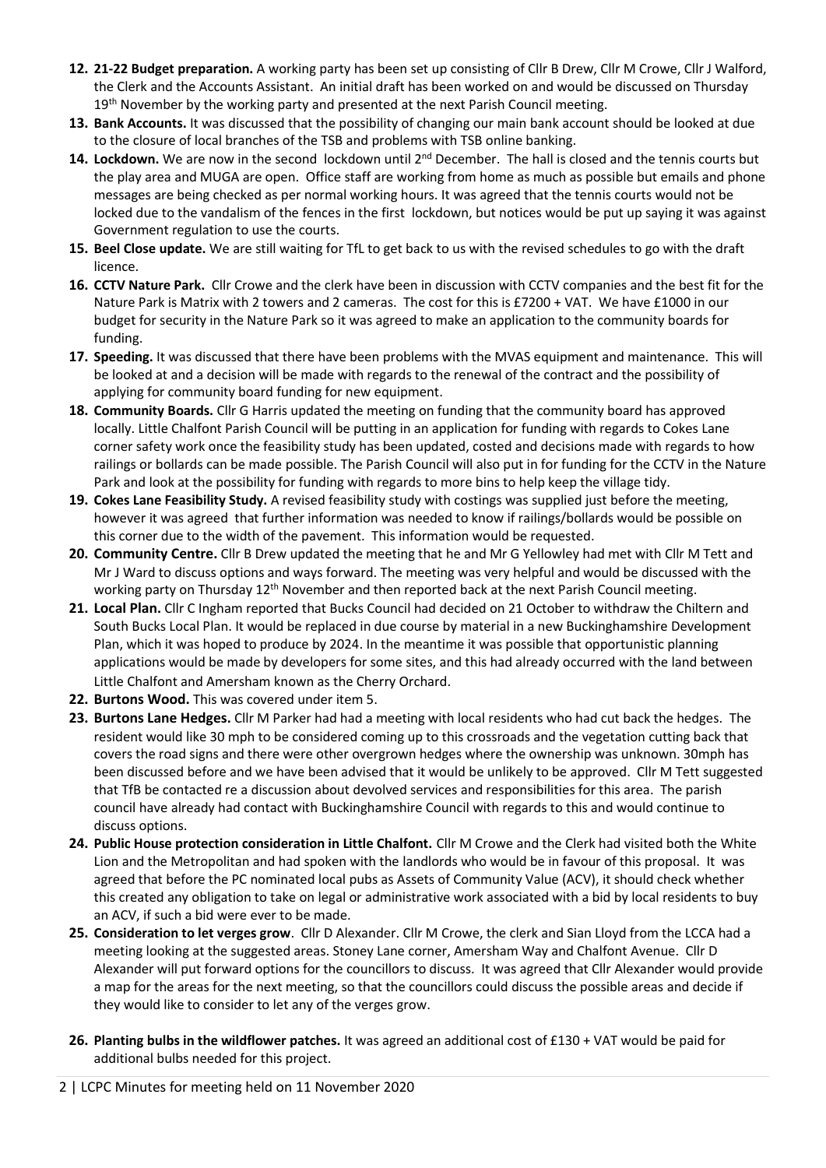- **12. 21-22 Budget preparation.** A working party has been set up consisting of Cllr B Drew, Cllr M Crowe, Cllr J Walford, the Clerk and the Accounts Assistant. An initial draft has been worked on and would be discussed on Thursday 19<sup>th</sup> November by the working party and presented at the next Parish Council meeting.
- **13. Bank Accounts.** It was discussed that the possibility of changing our main bank account should be looked at due to the closure of local branches of the TSB and problems with TSB online banking.
- 14. Lockdown. We are now in the second lockdown until 2<sup>nd</sup> December. The hall is closed and the tennis courts but the play area and MUGA are open. Office staff are working from home as much as possible but emails and phone messages are being checked as per normal working hours. It was agreed that the tennis courts would not be locked due to the vandalism of the fences in the first lockdown, but notices would be put up saying it was against Government regulation to use the courts.
- **15. Beel Close update.** We are still waiting for TfL to get back to us with the revised schedules to go with the draft licence.
- **16. CCTV Nature Park.** Cllr Crowe and the clerk have been in discussion with CCTV companies and the best fit for the Nature Park is Matrix with 2 towers and 2 cameras. The cost for this is £7200 + VAT. We have £1000 in our budget for security in the Nature Park so it was agreed to make an application to the community boards for funding.
- **17. Speeding.** It was discussed that there have been problems with the MVAS equipment and maintenance. This will be looked at and a decision will be made with regards to the renewal of the contract and the possibility of applying for community board funding for new equipment.
- **18. Community Boards.** Cllr G Harris updated the meeting on funding that the community board has approved locally. Little Chalfont Parish Council will be putting in an application for funding with regards to Cokes Lane corner safety work once the feasibility study has been updated, costed and decisions made with regards to how railings or bollards can be made possible. The Parish Council will also put in for funding for the CCTV in the Nature Park and look at the possibility for funding with regards to more bins to help keep the village tidy.
- **19. Cokes Lane Feasibility Study.** A revised feasibility study with costings was supplied just before the meeting, however it was agreed that further information was needed to know if railings/bollards would be possible on this corner due to the width of the pavement. This information would be requested.
- **20. Community Centre.** Cllr B Drew updated the meeting that he and Mr G Yellowley had met with Cllr M Tett and Mr J Ward to discuss options and ways forward. The meeting was very helpful and would be discussed with the working party on Thursday 12<sup>th</sup> November and then reported back at the next Parish Council meeting.
- **21. Local Plan.** Cllr C Ingham reported that Bucks Council had decided on 21 October to withdraw the Chiltern and South Bucks Local Plan. It would be replaced in due course by material in a new Buckinghamshire Development Plan, which it was hoped to produce by 2024. In the meantime it was possible that opportunistic planning applications would be made by developers for some sites, and this had already occurred with the land between Little Chalfont and Amersham known as the Cherry Orchard.
- **22. Burtons Wood.** This was covered under item 5.
- **23. Burtons Lane Hedges.** Cllr M Parker had had a meeting with local residents who had cut back the hedges. The resident would like 30 mph to be considered coming up to this crossroads and the vegetation cutting back that covers the road signs and there were other overgrown hedges where the ownership was unknown. 30mph has been discussed before and we have been advised that it would be unlikely to be approved. Cllr M Tett suggested that TfB be contacted re a discussion about devolved services and responsibilities for this area. The parish council have already had contact with Buckinghamshire Council with regards to this and would continue to discuss options.
- **24. Public House protection consideration in Little Chalfont.** Cllr M Crowe and the Clerk had visited both the White Lion and the Metropolitan and had spoken with the landlords who would be in favour of this proposal. It was agreed that before the PC nominated local pubs as Assets of Community Value (ACV), it should check whether this created any obligation to take on legal or administrative work associated with a bid by local residents to buy an ACV, if such a bid were ever to be made.
- **25. Consideration to let verges grow**. Cllr D Alexander. Cllr M Crowe, the clerk and Sian Lloyd from the LCCA had a meeting looking at the suggested areas. Stoney Lane corner, Amersham Way and Chalfont Avenue. Cllr D Alexander will put forward options for the councillors to discuss. It was agreed that Cllr Alexander would provide a map for the areas for the next meeting, so that the councillors could discuss the possible areas and decide if they would like to consider to let any of the verges grow.
- **26. Planting bulbs in the wildflower patches.** It was agreed an additional cost of £130 + VAT would be paid for additional bulbs needed for this project.